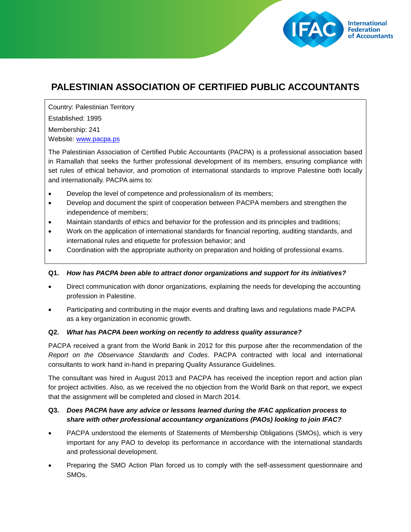

## **PALESTINIAN ASSOCIATION OF CERTIFIED PUBLIC ACCOUNTANTS**

Country: Palestinian Territory Established: 1995 Membership: 241 Website: [www.pacpa.ps](http://www.pacpa.ps/)

The Palestinian Association of Certified Public Accountants (PACPA) is a professional association based in Ramallah that seeks the further professional development of its members, ensuring compliance with set rules of ethical behavior, and promotion of international standards to improve Palestine both locally and internationally. PACPA aims to:

- Develop the level of competence and professionalism of its members;
- Develop and document the spirit of cooperation between PACPA members and strengthen the independence of members;
- Maintain standards of ethics and behavior for the profession and its principles and traditions;
- Work on the application of international standards for financial reporting, auditing standards, and international rules and etiquette for profession behavior; and
- Coordination with the appropriate authority on preparation and holding of professional exams.

## **Q1.** *How has PACPA been able to attract donor organizations and support for its initiatives?*

- Direct communication with donor organizations, explaining the needs for developing the accounting profession in Palestine.
- Participating and contributing in the major events and drafting laws and regulations made PACPA as a key organization in economic growth.

## **Q2.** *What has PACPA been working on recently to address quality assurance?*

PACPA received a grant from the World Bank in 2012 for this purpose after the recommendation of the *Report on the Observance Standards and Codes*. PACPA contracted with local and international consultants to work hand in-hand in preparing Quality Assurance Guidelines.

The consultant was hired in August 2013 and PACPA has received the inception report and action plan for project activities. Also, as we received the no objection from the World Bank on that report, we expect that the assignment will be completed and closed in March 2014.

## **Q3.** *Does PACPA have any advice or lessons learned during the IFAC application process to share with other professional accountancy organizations (PAOs) looking to join IFAC?*

- PACPA understood the elements of Statements of Membership Obligations (SMOs), which is very important for any PAO to develop its performance in accordance with the international standards and professional development.
- Preparing the SMO Action Plan forced us to comply with the self-assessment questionnaire and SMOs.